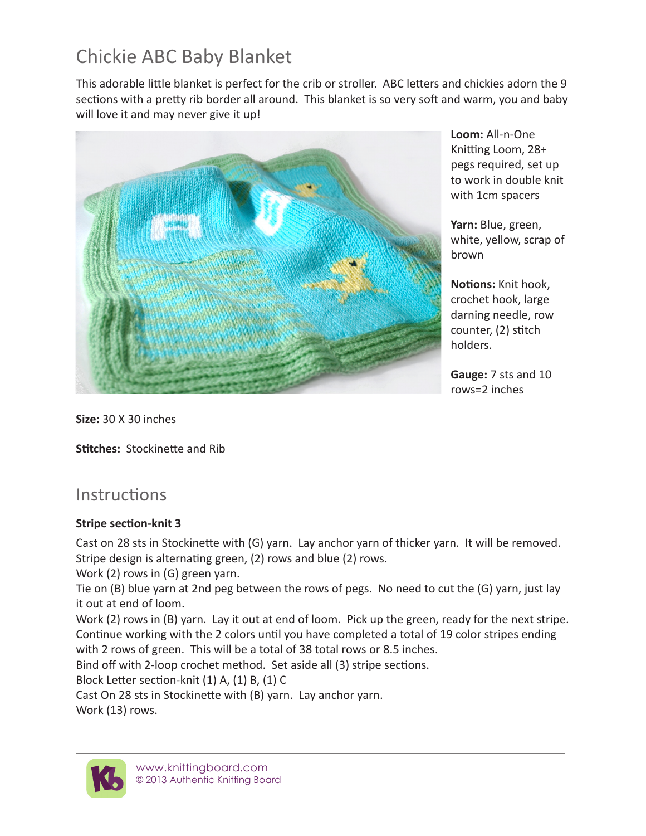# Chickie ABC Baby Blanket

This adorable little blanket is perfect for the crib or stroller. ABC letters and chickies adorn the 9 sections with a pretty rib border all around. This blanket is so very soft and warm, you and baby will love it and may never give it up!



**Loom:** All-n-One Knitting Loom, 28+ pegs required, set up to work in double knit with 1cm spacers

**Yarn:** Blue, green, white, yellow, scrap of brown

**Notions:** Knit hook, crochet hook, large darning needle, row counter, (2) stitch holders.

**Gauge:** 7 sts and 10 rows=2 inches

**Size:** 30 X 30 inches

**Stitches:** Stockinette and Rib

# **Instructions**

#### **Stripe section-knit 3**

Cast on 28 sts in Stockinette with (G) yarn. Lay anchor yarn of thicker yarn. It will be removed. Stripe design is alternating green, (2) rows and blue (2) rows.

Work (2) rows in (G) green yarn.

Tie on (B) blue yarn at 2nd peg between the rows of pegs. No need to cut the (G) yarn, just lay it out at end of loom.

Work (2) rows in (B) yarn. Lay it out at end of loom. Pick up the green, ready for the next stripe. Continue working with the 2 colors until you have completed a total of 19 color stripes ending with 2 rows of green. This will be a total of 38 total rows or 8.5 inches.

Bind off with 2-loop crochet method. Set aside all (3) stripe sections.

Block Letter section-knit (1) A, (1) B, (1) C

Cast On 28 sts in Stockinette with (B) yarn. Lay anchor yarn.

Work (13) rows.

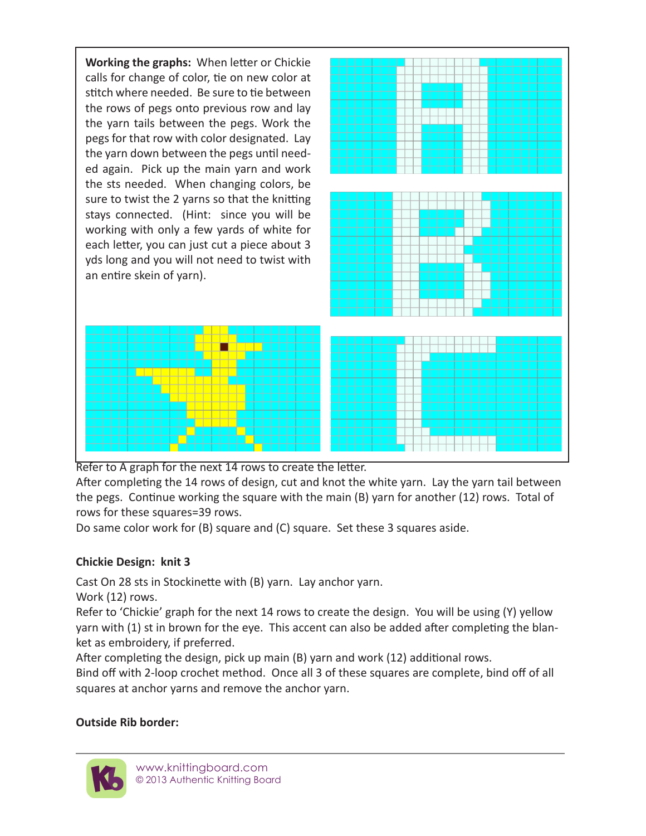**Working the graphs:** When letter or Chickie calls for change of color, tie on new color at stitch where needed. Be sure to tie between the rows of pegs onto previous row and lay the yarn tails between the pegs. Work the pegs for that row with color designated. Lay the yarn down between the pegs until needed again. Pick up the main yarn and work the sts needed. When changing colors, be sure to twist the 2 yarns so that the knitting stays connected. (Hint: since you will be working with only a few yards of white for each letter, you can just cut a piece about 3 yds long and you will not need to twist with an entire skein of yarn).



Refer to A graph for the next 14 rows to create the letter.

After completing the 14 rows of design, cut and knot the white yarn. Lay the yarn tail between the pegs. Continue working the square with the main (B) yarn for another (12) rows. Total of rows for these squares=39 rows.

Do same color work for (B) square and (C) square. Set these 3 squares aside.

### **Chickie Design: knit 3**

Cast On 28 sts in Stockinette with (B) yarn. Lay anchor yarn.

Work (12) rows.

Refer to 'Chickie' graph for the next 14 rows to create the design. You will be using (Y) yellow yarn with (1) st in brown for the eye. This accent can also be added after completing the blanket as embroidery, if preferred.

After completing the design, pick up main (B) yarn and work (12) additional rows.

Bind off with 2-loop crochet method. Once all 3 of these squares are complete, bind off of all squares at anchor yarns and remove the anchor yarn.

## **Outside Rib border:**